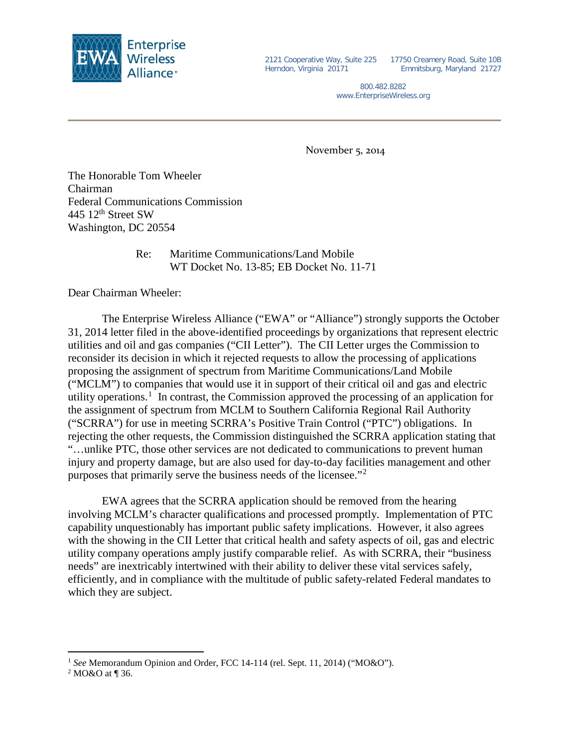

2121 Cooperative Way, Suite 225 17750 Creamery Road, Suite 10B Herndon, Virginia 20171

Emmitsburg, Maryland 21727

800.482.8282 www.EnterpriseWireless.org

November 5, 2014

The Honorable Tom Wheeler Chairman Federal Communications Commission 445 12<sup>th</sup> Street SW Washington, DC 20554

## Re: Maritime Communications/Land Mobile WT Docket No. 13-85; EB Docket No. 11-71

Dear Chairman Wheeler:

The Enterprise Wireless Alliance ("EWA" or "Alliance") strongly supports the October 31, 2014 letter filed in the above-identified proceedings by organizations that represent electric utilities and oil and gas companies ("CII Letter"). The CII Letter urges the Commission to reconsider its decision in which it rejected requests to allow the processing of applications proposing the assignment of spectrum from Maritime Communications/Land Mobile ("MCLM") to companies that would use it in support of their critical oil and gas and electric utility operations.<sup>[1](#page-0-0)</sup> In contrast, the Commission approved the processing of an application for the assignment of spectrum from MCLM to Southern California Regional Rail Authority ("SCRRA") for use in meeting SCRRA's Positive Train Control ("PTC") obligations. In rejecting the other requests, the Commission distinguished the SCRRA application stating that "…unlike PTC, those other services are not dedicated to communications to prevent human injury and property damage, but are also used for day-to-day facilities management and other purposes that primarily serve the business needs of the licensee."[2](#page-0-1)

EWA agrees that the SCRRA application should be removed from the hearing involving MCLM's character qualifications and processed promptly. Implementation of PTC capability unquestionably has important public safety implications. However, it also agrees with the showing in the CII Letter that critical health and safety aspects of oil, gas and electric utility company operations amply justify comparable relief. As with SCRRA, their "business needs" are inextricably intertwined with their ability to deliver these vital services safely, efficiently, and in compliance with the multitude of public safety-related Federal mandates to which they are subject.

 $\overline{a}$ 

<span id="page-0-0"></span><sup>&</sup>lt;sup>1</sup> *See* Memorandum Opinion and Order, FCC 14-114 (rel. Sept. 11, 2014) ("MO&O").<br><sup>2</sup> MO&O at ¶ 36.

<span id="page-0-1"></span>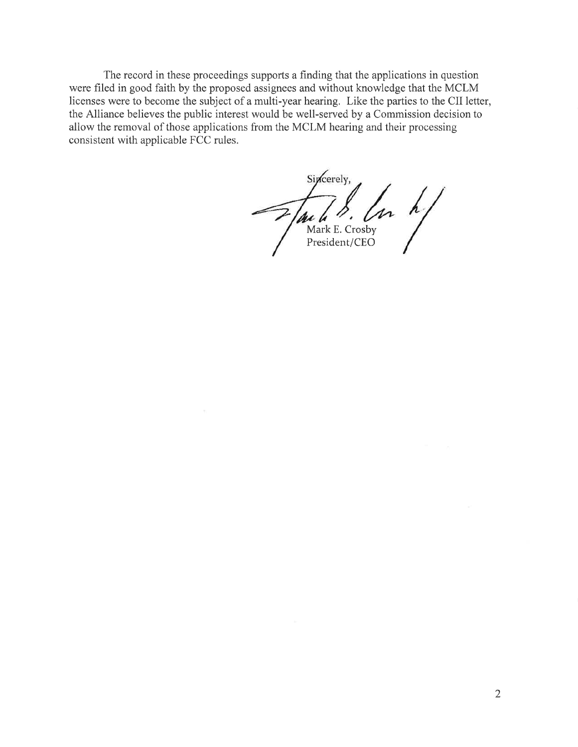The record in these proceedings supports a finding that the applications in question were filed in good faith by the proposed assignees and without knowledge that the MCLM licenses were to become the subject of a multi-year hearing. Like the parties to the CII letter, the Alliance believes the public interest would be well-served by a Commission decision to allow the removal of those applications from the MCLM hearing and their processing consistent with applicable FCC rules.

Sincerely.  $\frac{1}{\sqrt{\text{Mark E. Crosby}}}\int_{\text{President }}/\text{Crosy}} h/$ President/CEO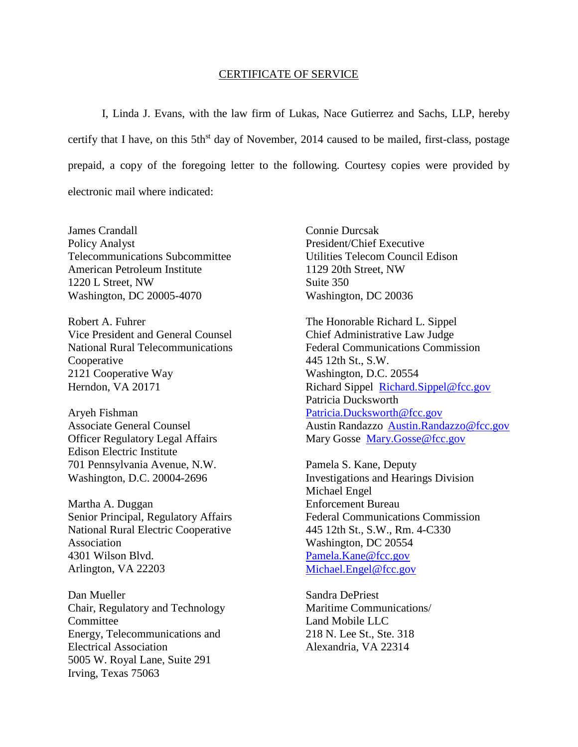## CERTIFICATE OF SERVICE

I, Linda J. Evans, with the law firm of Lukas, Nace Gutierrez and Sachs, LLP, hereby certify that I have, on this 5th<sup>st</sup> day of November, 2014 caused to be mailed, first-class, postage prepaid, a copy of the foregoing letter to the following. Courtesy copies were provided by electronic mail where indicated:

James Crandall Policy Analyst Telecommunications Subcommittee American Petroleum Institute 1220 L Street, NW Washington, DC 20005-4070

Robert A. Fuhrer Vice President and General Counsel National Rural Telecommunications Cooperative 2121 Cooperative Way Herndon, VA 20171

Aryeh Fishman Associate General Counsel Officer Regulatory Legal Affairs Edison Electric Institute 701 Pennsylvania Avenue, N.W. Washington, D.C. 20004-2696

Martha A. Duggan Senior Principal, Regulatory Affairs National Rural Electric Cooperative Association 4301 Wilson Blvd. Arlington, VA 22203

Dan Mueller Chair, Regulatory and Technology Committee Energy, Telecommunications and Electrical Association 5005 W. Royal Lane, Suite 291 Irving, Texas 75063

Connie Durcsak President/Chief Executive Utilities Telecom Council Edison 1129 20th Street, NW Suite 350 Washington, DC 20036

The Honorable Richard L. Sippel Chief Administrative Law Judge Federal Communications Commission 445 12th St., S.W. Washington, D.C. 20554 Richard Sippel [Richard.Sippel@fcc.gov](mailto:Richard.Sippel@fcc.gov) Patricia Ducksworth [Patricia.Ducksworth@fcc.gov](mailto:Patricia.Ducksworth@fcc.gov) Austin Randazzo [Austin.Randazzo@fcc.gov](mailto:Austin.Randazzo@fcc.gov) Mary Gosse [Mary.Gosse@fcc.gov](mailto:Mary.Gosse@fcc.gov)

Pamela S. Kane, Deputy Investigations and Hearings Division Michael Engel Enforcement Bureau Federal Communications Commission 445 12th St., S.W., Rm. 4-C330 Washington, DC 20554 [Pamela.Kane@fcc.gov](mailto:Pamela.Kane@fcc.gov) [Michael.Engel@fcc.gov](mailto:Michael.Engel@fcc.gov)

Sandra DePriest Maritime Communications/ Land Mobile LLC 218 N. Lee St., Ste. 318 Alexandria, VA 22314